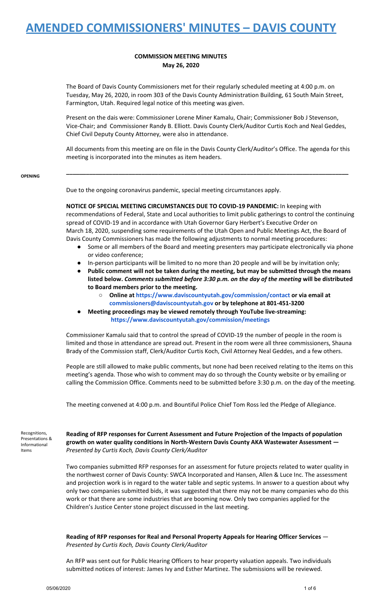## **COMMISSION MEETING MINUTES May 26, 2020**

The Board of Davis County Commissioners met for their regularly scheduled meeting at 4:00 p.m. on Tuesday, May 26, 2020, in room 303 of the Davis County Administration Building, 61 South Main Street, Farmington, Utah. Required legal notice of this meeting was given.

Present on the dais were: Commissioner Lorene Miner Kamalu, Chair; Commissioner Bob J Stevenson, Vice-Chair; and Commissioner Randy B. Elliott. Davis County Clerk/Auditor Curtis Koch and Neal Geddes, Chief Civil Deputy County Attorney, were also in attendance.

All documents from this meeting are on file in the Davis County Clerk/Auditor's Office. The agenda for this meeting is incorporated into the minutes as item headers.

**\_\_\_\_\_\_\_\_\_\_\_\_\_\_\_\_\_\_\_\_\_\_\_\_\_\_\_\_\_\_\_\_\_\_\_\_\_\_\_\_\_\_\_\_\_\_\_\_\_\_\_\_\_\_\_\_\_\_\_\_\_\_\_\_\_\_\_\_\_\_\_\_\_\_\_\_\_\_\_\_\_\_\_\_\_\_**

**OPENING**

Due to the ongoing coronavirus pandemic, special meeting circumstances apply.

**NOTICE OF SPECIAL MEETING CIRCUMSTANCES DUE TO COVID-19 PANDEMIC:** In keeping with recommendations of Federal, State and Local authorities to limit public gatherings to control the continuing spread of COVID-19 and in accordance with Utah Governor Gary Herbert's Executive Order on March 18, 2020, suspending some requirements of the Utah Open and Public Meetings Act, the Board of Davis County Commissioners has made the following adjustments to normal meeting procedures:

- Some or all members of the Board and meeting presenters may participate electronically via phone or video conference;
- In-person participants will be limited to no more than 20 people and will be by invitation only;
- **● Public comment will not be taken during the meeting, but may be submitted through the means listed below.** *Comments submitted before 3:30 p.m. on the day of the meeting* **will be distributed to Board members prior to the meeting.**
	- **○ Online at <https://www.daviscountyutah.gov/commission/contact> or via [email](https://www.daviscountyutah.gov/commission/contact) at [commissioners@daviscountyutah.gov](https://www.daviscountyutah.gov/commission/contact) or by telephone at 801-451-3200**
- **● Meeting proceedings may be viewed remotely through YouTube live-streaming: <https://www.daviscountyutah.gov/commission/meetings>**

Commissioner Kamalu said that to control the spread of COVID-19 the number of people in the room is limited and those in attendance are spread out. Present in the room were all three commissioners, Shauna Brady of the Commission staff, Clerk/Auditor Curtis Koch, Civil Attorney Neal Geddes, and a few others.

People are still allowed to make public comments, but none had been received relating to the items on this meeting's agenda. Those who wish to comment may do so through the County website or by emailing or calling the Commission Office. Comments need to be submitted before 3:30 p.m. on the day of the meeting.

The meeting convened at 4:00 p.m. and Bountiful Police Chief Tom Ross led the Pledge of Allegiance.

Recognitions, Presentations & Informational Items

**Reading of RFP responses for Current Assessment and Future Projection of the Impacts of population growth on water quality conditions in North-Western Davis County AKA Wastewater Assessment —** *Presented by Curtis Koch, Davis County Clerk/Auditor*

Two companies submitted RFP responses for an assessment for future projects related to water quality in the northwest corner of Davis County: SWCA Incorporated and Hansen, Allen & Luce Inc. The assessment and projection work is in regard to the water table and septic systems. In answer to a question about why only two companies submitted bids, it was suggested that there may not be many companies who do this work or that there are some industries that are booming now. Only two companies applied for the Children's Justice Center stone project discussed in the last meeting.

**Reading of RFP responses for Real and Personal Property Appeals for Hearing Officer Services** — *Presented by Curtis Koch, Davis County Clerk/Auditor*

An RFP was sent out for Public Hearing Officers to hear property valuation appeals. Two individuals submitted notices of interest: James Ivy and Esther Martinez. The submissions will be reviewed.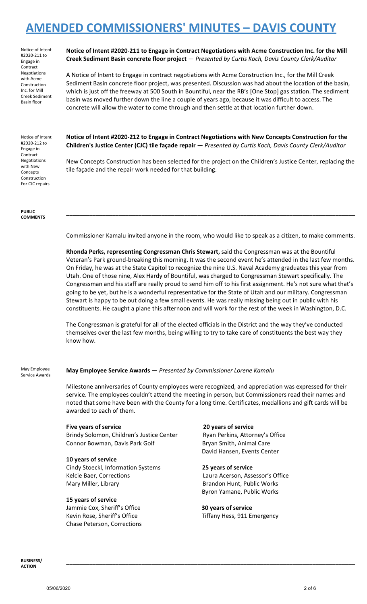Notice of Intent #2020-211 to Engage in Contract Negotiations with Acme Construction Inc. for Mill Creek Sediment Basin floor

### **Notice of Intent #2020-211 to Engage in Contract Negotiations with Acme Construction Inc. for the Mill Creek Sediment Basin concrete floor project** — *Presented by Curtis Koch, Davis County Clerk/Auditor*

A Notice of Intent to Engage in contract negotiations with Acme Construction Inc., for the Mill Creek Sediment Basin concrete floor project, was presented. Discussion was had about the location of the basin, which is just off the freeway at 500 South in Bountiful, near the RB's [One Stop] gas station. The sediment basin was moved further down the line a couple of years ago, because it was difficult to access. The concrete will allow the water to come through and then settle at that location further down.

Notice of Intent #2020-212 to Engage in Contract Negotiations with New Concepts Construction For CJC repairs

**PUBLIC COMMENTS** **Notice of Intent #2020-212 to Engage in Contract Negotiations with New Concepts Construction for the Children's Justice Center (CJC) tile façade repair** — *Presented by Curtis Koch, Davis County Clerk/Auditor*

New Concepts Construction has been selected for the project on the Children's Justice Center, replacing the tile façade and the repair work needed for that building.

Commissioner Kamalu invited anyone in the room, who would like to speak as a citizen, to make comments.

**\_\_\_\_\_\_\_\_\_\_\_\_\_\_\_\_\_\_\_\_\_\_\_\_\_\_\_\_\_\_\_\_\_\_\_\_\_\_\_\_\_\_\_\_\_\_\_\_\_\_\_\_\_\_\_\_\_\_\_\_\_\_\_\_\_\_\_\_\_\_\_\_\_\_\_\_\_\_\_\_\_\_\_\_\_\_\_\_**

**Rhonda Perks, representing Congressman Chris Stewart,** said the Congressman was at the Bountiful Veteran's Park ground-breaking this morning. It was the second event he's attended in the last few months. On Friday, he was at the State Capitol to recognize the nine U.S. Naval Academy graduates this year from Utah. One of those nine, Alex Hardy of Bountiful, was charged to Congressman Stewart specifically. The Congressman and his staff are really proud to send him off to his first assignment. He's not sure what that's going to be yet, but he is a wonderful representative for the State of Utah and our military. Congressman Stewart is happy to be out doing a few small events. He was really missing being out in public with his constituents. He caught a plane this afternoon and will work for the rest of the week in Washington, D.C.

The Congressman is grateful for all of the elected officials in the District and the way they've conducted themselves over the last few months, being willing to try to take care of constituents the best way they know how.

May Employee Service Awards **May Employee Service Awards —** *Presented by Commissioner Lorene Kamalu*

Milestone anniversaries of County employees were recognized, and appreciation was expressed for their service. The employees couldn't attend the meeting in person, but Commissioners read their names and noted that some have been with the County for a long time. Certificates, medallions and gift cards will be awarded to each of them.

### **Five years of service 20 years of service**

Brindy Solomon, Children's Justice Center Ryan Perkins, Attorney's Office Connor Bowman, Davis Park Golf Bryan Smith, Animal Care

## **10 years of service**

Cindy Stoeckl, Information Systems **25 years of service** Kelcie Baer, Corrections Laura Acerson, Assessor's Office Mary Miller, Library **Brandon Hunt, Public Works** 

### **15 years of service**

Jammie Cox, Sheriff's Office **30 years of service** Chase Peterson, Corrections

David Hansen, Events Center

Byron Yamane, Public Works

**\_\_\_\_\_\_\_\_\_\_\_\_\_\_\_\_\_\_\_\_\_\_\_\_\_\_\_\_\_\_\_\_\_\_\_\_\_\_\_\_\_\_\_\_\_\_\_\_\_\_\_\_\_\_\_\_\_\_\_\_\_\_\_\_\_\_\_\_\_\_\_\_\_\_\_\_\_\_\_\_\_\_\_\_\_\_\_\_**

Kevin Rose, Sheriff's Office The Tiffany Hess, 911 Emergency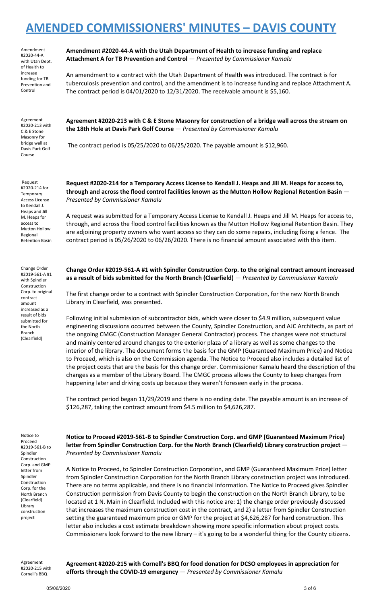Amendment #2020-44-A with Utah Dept. of Health to increase funding for TB Prevention and Control

Agreement #2020-213 with C & E Stone Masonry for bridge wall at Davis Park Golf Course

Request #2020-214 for **Temporary** Access License to Kendall J. Heaps and Jill M. Heaps for access to Mutton Hollow Regional Retention Basin

Change Order #2019-561-A #1 with Spindler Construction Corp. to original contract amount increased as a result of bids submitted for the North Branch (Clearfield)

**Amendment #2020-44-A with the Utah Department of Health to increase funding and replace Attachment A for TB Prevention and Control** — *Presented by Commissioner Kamalu*

An amendment to a contract with the Utah Department of Health was introduced. The contract is for tuberculosis prevention and control, and the amendment is to increase funding and replace Attachment A. The contract period is 04/01/2020 to 12/31/2020. The receivable amount is \$5,160.

Agreement #2020-213 with C & E Stone Masonry for construction of a bridge wall across the stream on **the 18th Hole at Davis Park Golf Course** — *Presented by Commissioner Kamalu*

The contract period is 05/25/2020 to 06/25/2020. The payable amount is \$12,960.

Request #2020-214 for a Temporary Access License to Kendall J. Heaps and Jill M. Heaps for access to, **through and across the flood control facilities known as the Mutton Hollow Regional Retention Basin** — *Presented by Commissioner Kamalu*

A request was submitted for a Temporary Access License to Kendall J. Heaps and Jill M. Heaps for access to, through, and across the flood control facilities known as the Mutton Hollow Regional Retention Basin. They are adjoining property owners who want access so they can do some repairs, including fixing a fence. The contract period is 05/26/2020 to 06/26/2020. There is no financial amount associated with this item.

**Change Order #2019-561-A #1 with Spindler Construction Corp. to the original contract amount increased as a result of bids submitted for the North Branch (Clearfield)** — *Presented by Commissioner Kamalu*

The first change order to a contract with Spindler Construction Corporation, for the new North Branch Library in Clearfield, was presented.

Following initial submission of subcontractor bids, which were closer to \$4.9 million, subsequent value engineering discussions occurred between the County, Spindler Construction, and AJC Architects, as part of the ongoing CMGC (Construction Manager General Contractor) process. The changes were not structural and mainly centered around changes to the exterior plaza of a library as well as some changes to the interior of the library. The document forms the basis for the GMP (Guaranteed Maximum Price) and Notice to Proceed, which is also on the Commission agenda. The Notice to Proceed also includes a detailed list of the project costs that are the basis for this change order. Commissioner Kamalu heard the description of the changes as a member of the Library Board. The CMGC process allows the County to keep changes from happening later and driving costs up because they weren't foreseen early in the process.

The contract period began 11/29/2019 and there is no ending date. The payable amount is an increase of \$126,287, taking the contract amount from \$4.5 million to \$4,626,287.

Notice to Proceed #2019-561-B to Spindler Construction Corp. and GMP letter from Spindler Construction Corp. for the North Branch (Clearfield) Library construction project

**Notice to Proceed #2019-561-B to Spindler Construction Corp. and GMP (Guaranteed Maximum Price) letter from Spindler Construction Corp. for the North Branch (Clearfield) Library construction project** — *Presented by Commissioner Kamalu*

A Notice to Proceed, to Spindler Construction Corporation, and GMP (Guaranteed Maximum Price) letter from Spindler Construction Corporation for the North Branch Library construction project was introduced. There are no terms applicable, and there is no financial information. The Notice to Proceed gives Spindler Construction permission from Davis County to begin the construction on the North Branch Library, to be located at 1 N. Main in Clearfield. Included with this notice are: 1) the change order previously discussed that increases the maximum construction cost in the contract, and 2) a letter from Spindler Construction setting the guaranteed maximum price or GMP for the project at \$4,626,287 for hard construction. This letter also includes a cost estimate breakdown showing more specific information about project costs. Commissioners look forward to the new library – it's going to be a wonderful thing for the County citizens.

Agreement #2020-215 with Cornell's BBQ

**Agreement #2020-215 with Cornell's BBQ for food donation for DCSO employees in appreciation for efforts through the COVID-19 emergency** — *Presented by Commissioner Kamalu*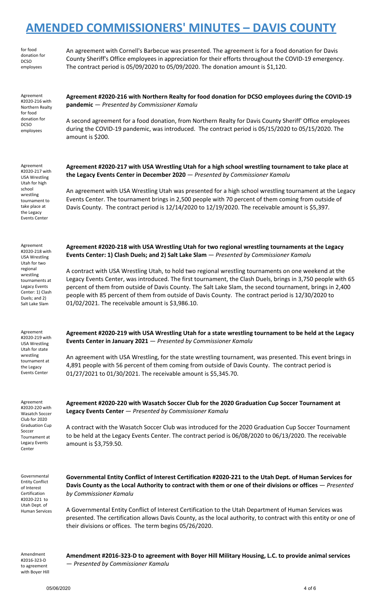**AMENDED COMMISSIONERS' MINUTES – DAVIS COUNTY** for food donation for DCSO employees An agreement with Cornell's Barbecue was presented. The agreement is for a food donation for Davis County Sheriff's Office employees in appreciation for their efforts throughout the COVID-19 emergency. The contract period is 05/09/2020 to 05/09/2020. The donation amount is \$1,120. Agreement #2020-216 with Northern Realty for food donation for DCSO employees **Agreement #2020-216 with Northern Realty for food donation for DCSO employees during the COVID-19 pandemic** — *Presented by Commissioner Kamalu* A second agreement for a food donation, from Northern Realty for Davis County Sheriff' Office employees during the COVID-19 pandemic, was introduced. The contract period is 05/15/2020 to 05/15/2020. The amount is \$200. Agreement #2020-217 with USA Wrestling Utah for high school wrestling tournament to take place at the Legacy Events Center **Agreement #2020-217 with USA Wrestling Utah for a high school wrestling tournament to take place at the Legacy Events Center in December 2020** — *Presented by Commissioner Kamalu* An agreement with USA Wrestling Utah was presented for a high school wrestling tournament at the Legacy Events Center. The tournament brings in 2,500 people with 70 percent of them coming from outside of Davis County. The contract period is 12/14/2020 to 12/19/2020. The receivable amount is \$5,397. Agreement #2020-218 with USA Wrestling Utah for two regional wrestling tournaments at Legacy Events Center: 1) Clash Duels; and 2) Salt Lake Slam **Agreement #2020-218 with USA Wrestling Utah for two regional wrestling tournaments at the Legacy Events Center: 1) Clash Duels; and 2) Salt Lake Slam** — *Presented by Commissioner Kamalu* A contract with USA Wrestling Utah, to hold two regional wrestling tournaments on one weekend at the Legacy Events Center, was introduced. The first tournament, the Clash Duels, brings in 3,750 people with 65 percent of them from outside of Davis County. The Salt Lake Slam, the second tournament, brings in 2,400 people with 85 percent of them from outside of Davis County. The contract period is 12/30/2020 to 01/02/2021. The receivable amount is \$3,986.10. Agreement #2020-219 with USA Wrestling Utah for state wrestling tournament at the Legacy Events Center **Agreement #2020-219 with USA Wrestling Utah for a state wrestling tournament to be held at the Legacy Events Center in January 2021** — *Presented by Commissioner Kamalu* An agreement with USA Wrestling, for the state wrestling tournament, was presented. This event brings in 4,891 people with 56 percent of them coming from outside of Davis County. The contract period is 01/27/2021 to 01/30/2021. The receivable amount is \$5,345.70. Agreement #2020-220 with Wasatch Soccer Club for 2020 Graduation Cup Soccer Tournament at Legacy Events Center **Agreement #2020-220 with Wasatch Soccer Club for the 2020 Graduation Cup Soccer Tournament at Legacy Events Center** — *Presented by Commissioner Kamalu* A contract with the Wasatch Soccer Club was introduced for the 2020 Graduation Cup Soccer Tournament to be held at the Legacy Events Center. The contract period is 06/08/2020 to 06/13/2020. The receivable amount is \$3,759.50. Governmental Entity Conflict of Interest Certification #2020-221 to Utah Dept. of **Governmental Entity Conflict of Interest Certification #2020-221 to the Utah Dept. of Human Services for** Davis County as the Local Authority to contract with them or one of their divisions or offices - Presented *by Commissioner Kamalu*

A Governmental Entity Conflict of Interest Certification to the Utah Department of Human Services was presented. The certification allows Davis County, as the local authority, to contract with this entity or one of their divisions or offices. The term begins 05/26/2020.

Amendment #2016-323-D to agreement with Boyer Hill

Human Services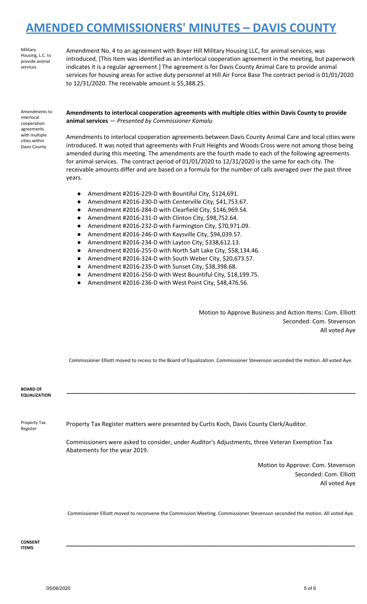Military Housing, L.C. to provide animal services

Amendment No. 4 to an agreement with Boyer Hill Military Housing LLC, for animal services, was introduced. [This Item was identified as an interlocal cooperation agreement in the meeting, but paperwork indicates it is a regular agreement.] The agreement is for Davis County Animal Care to provide animal services for housing areas for active duty personnel at Hill Air Force Base The contract period is 01/01/2020 to 12/31/2020. The receivable amount is \$5,388.25.

Amendments to interlocal cooperation agreements with multiple cities within Davis County

**Amendments to interlocal cooperation agreements with multiple cities within Davis County to provide animal services** — *Presented by Commissioner Kamalu*

Amendments to interlocal cooperation agreements between Davis County Animal Care and local cities were introduced. It was noted that agreements with Fruit Heights and Woods Cross were not among those being amended during this meeting. The amendments are the fourth made to each of the following agreements for animal services. The contract period of 01/01/2020 to 12/31/2020 is the same for each city. The receivable amounts differ and are based on a formula for the number of calls averaged over the past three years.

- Amendment #2016-229-D with Bountiful City, \$124,691.
- Amendment #2016-230-D with Centerville City, \$41,753.67.
- Amendment #2016-284-D with Clearfield City, \$146,969.54.
- Amendment #2016-231-D with Clinton City, \$98,752.64.
- Amendment #2016-232-D with Farmington City, \$70,971.09.
- Amendment #2016-246-D with Kaysville City, \$94,039.57.
- Amendment #2016-234-D with Layton City, \$338,612.13.
- Amendment #2016-255-D with North Salt Lake City, \$58,134.46.
- Amendment #2016-324-D with South Weber City, \$20,673.57.
- Amendment #2016-235-D with Sunset City, \$38,398.68.
- Amendment #2016-256-D with West Bountiful City, \$18,199.75.
- Amendment #2016-236-D with West Point City, \$48,476.56.

Motion to Approve Business and Action Items: Com. Elliott Seconded: Com. Stevenson All voted Aye

Commissioner Elliott moved to recess to the Board of Equalization. Commissioner Stevenson seconded the motion. All voted Aye.

**\_\_\_\_\_\_\_\_\_\_\_\_\_\_\_\_\_\_\_\_\_\_\_\_\_\_\_\_\_\_\_\_\_\_\_\_\_\_\_\_\_\_\_\_\_\_\_\_\_\_\_\_\_\_\_\_\_\_\_\_\_\_\_\_\_\_\_\_\_\_\_\_\_\_\_\_\_\_\_\_\_\_\_\_\_\_\_\_**

| <b>BOARD OF</b><br><b>EQUALIZATION</b> |                                                                                                                                 |
|----------------------------------------|---------------------------------------------------------------------------------------------------------------------------------|
| Property Tax<br>Register               | Property Tax Register matters were presented by Curtis Koch, Davis County Clerk/Auditor.                                        |
|                                        | Commissioners were asked to consider, under Auditor's Adjustments, three Veteran Exemption Tax<br>Abatements for the year 2019. |
|                                        | Motion to Approve: Com. Stevenson<br>Seconded: Com. Elliott<br>All voted Aye                                                    |
|                                        | Commissioner Elliott moved to reconvene the Commission Meeting. Commissioner Stevenson seconded the motion. All voted Aye.      |

**CONSENT ITEMS**